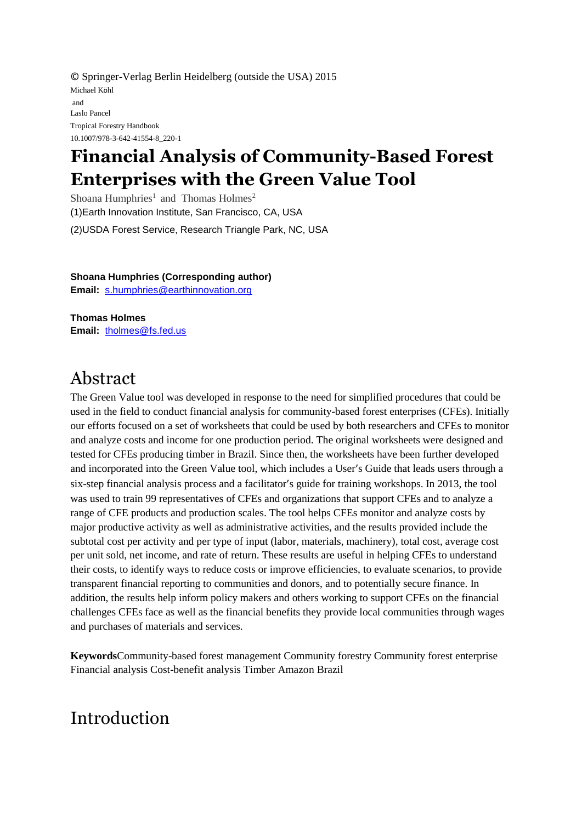© Springer-Verlag Berlin Heidelberg (outside the USA) 2015 Michael Köhl and Laslo Pancel Tropical Forestry Handbook 10.1007/978-3-642-41554-8\_220-1

# **Financial Analysis of Community-Based Forest Enterprises with the Green Value Tool**

Shoana Humphries<sup>1</sup> and Thomas Holmes<sup>2</sup> (1)Earth Innovation Institute, San Francisco, CA, USA (2)USDA Forest Service, Research Triangle Park, NC, USA

**Shoana Humphries (Corresponding author) Email:** [s.humphries@earthinnovation.org](mailto:s.humphries@earthinnovation.org)

**Thomas Holmes Email:** [tholmes@fs.fed.us](mailto:tholmes@fs.fed.us)

## Abstract

The Green Value tool was developed in response to the need for simplified procedures that could be used in the field to conduct financial analysis for community-based forest enterprises (CFEs). Initially our efforts focused on a set of worksheets that could be used by both researchers and CFEs to monitor and analyze costs and income for one production period. The original worksheets were designed and tested for CFEs producing timber in Brazil. Since then, the worksheets have been further developed and incorporated into the Green Value tool, which includes a User's Guide that leads users through a six-step financial analysis process and a facilitator's guide for training workshops. In 2013, the tool was used to train 99 representatives of CFEs and organizations that support CFEs and to analyze a range of CFE products and production scales. The tool helps CFEs monitor and analyze costs by major productive activity as well as administrative activities, and the results provided include the subtotal cost per activity and per type of input (labor, materials, machinery), total cost, average cost per unit sold, net income, and rate of return. These results are useful in helping CFEs to understand their costs, to identify ways to reduce costs or improve efficiencies, to evaluate scenarios, to provide transparent financial reporting to communities and donors, and to potentially secure finance. In addition, the results help inform policy makers and others working to support CFEs on the financial challenges CFEs face as well as the financial benefits they provide local communities through wages and purchases of materials and services.

**Keywords**Community-based forest management Community forestry Community forest enterprise Financial analysis Cost-benefit analysis Timber Amazon Brazil

# Introduction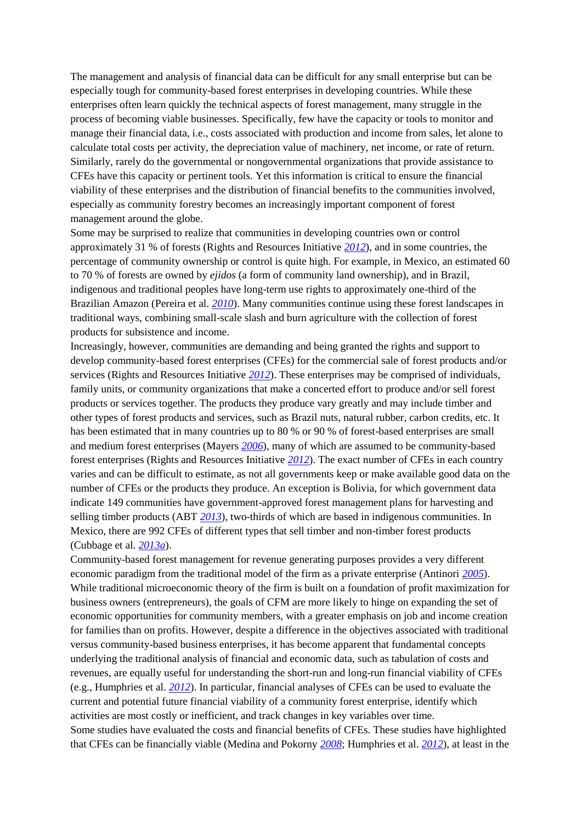The management and analysis of financial data can be difficult for any small enterprise but can be especially tough for community-based forest enterprises in developing countries. While these enterprises often learn quickly the technical aspects of forest management, many struggle in the process of becoming viable businesses. Specifically, few have the capacity or tools to monitor and manage their financial data, i.e., costs associated with production and income from sales, let alone to calculate total costs per activity, the depreciation value of machinery, net income, or rate of return. Similarly, rarely do the governmental or nongovernmental organizations that provide assistance to CFEs have this capacity or pertinent tools. Yet this information is critical to ensure the financial viability of these enterprises and the distribution of financial benefits to the communities involved, especially as community forestry becomes an increasingly important component of forest management around the globe.

Some may be surprised to realize that communities in developing countries own or control approximately 31 % of forests (Rights and Resources Initiative *[2012](#page-17-0)*), and in some countries, the percentage of community ownership or control is quite high. For example, in Mexico, an estimated 60 to 70 % of forests are owned by *ejidos* (a form of community land ownership), and in Brazil, indigenous and traditional peoples have long-term use rights to approximately one-third of the Brazilian Amazon (Pereira et al. *[2010](#page-17-1)*). Many communities continue using these forest landscapes in traditional ways, combining small-scale slash and burn agriculture with the collection of forest products for subsistence and income.

Increasingly, however, communities are demanding and being granted the rights and support to develop community-based forest enterprises (CFEs) for the commercial sale of forest products and/or services (Rights and Resources Initiative *[2012](#page-17-0)*). These enterprises may be comprised of individuals, family units, or community organizations that make a concerted effort to produce and/or sell forest products or services together. The products they produce vary greatly and may include timber and other types of forest products and services, such as Brazil nuts, natural rubber, carbon credits, etc. It has been estimated that in many countries up to 80 % or 90 % of forest-based enterprises are small and medium forest enterprises (Mayers *[2006](#page-16-0)*), many of which are assumed to be community-based forest enterprises (Rights and Resources Initiative *[2012](#page-17-0)*). The exact number of CFEs in each country varies and can be difficult to estimate, as not all governments keep or make available good data on the number of CFEs or the products they produce. An exception is Bolivia, for which government data indicate 149 communities have government-approved forest management plans for harvesting and selling timber products (ABT *[2013](#page-16-1)*), two-thirds of which are based in indigenous communities. In Mexico, there are 992 CFEs of different types that sell timber and non-timber forest products (Cubbage et al. *[2013a](#page-16-2)*).

Community-based forest management for revenue generating purposes provides a very different economic paradigm from the traditional model of the firm as a private enterprise (Antinori *[2005](#page-16-3)*). While traditional microeconomic theory of the firm is built on a foundation of profit maximization for business owners (entrepreneurs), the goals of CFM are more likely to hinge on expanding the set of economic opportunities for community members, with a greater emphasis on job and income creation for families than on profits. However, despite a difference in the objectives associated with traditional versus community-based business enterprises, it has become apparent that fundamental concepts underlying the traditional analysis of financial and economic data, such as tabulation of costs and revenues, are equally useful for understanding the short-run and long-run financial viability of CFEs (e.g., Humphries et al. *[2012](#page-16-4)*). In particular, financial analyses of CFEs can be used to evaluate the current and potential future financial viability of a community forest enterprise, identify which activities are most costly or inefficient, and track changes in key variables over time. Some studies have evaluated the costs and financial benefits of CFEs. These studies have highlighted that CFEs can be financially viable (Medina and Pokorny *[2008](#page-17-2)*; Humphries et al. *[2012](#page-16-4)*), at least in the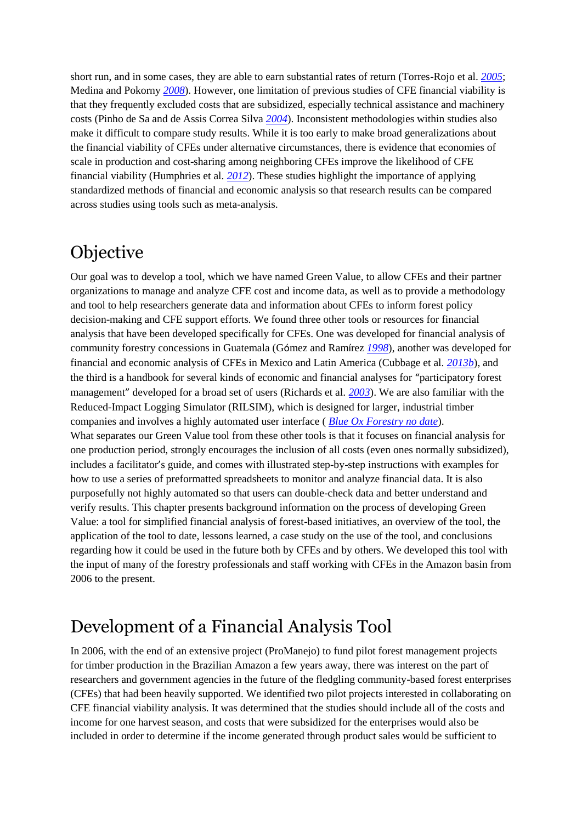short run, and in some cases, they are able to earn substantial rates of return (Torres-Rojo et al. *[2005](#page-17-3)*; Medina and Pokorny *[2008](#page-17-2)*). However, one limitation of previous studies of CFE financial viability is that they frequently excluded costs that are subsidized, especially technical assistance and machinery costs (Pinho de Sa and de Assis Correa Silva *[2004](#page-17-4)*). Inconsistent methodologies within studies also make it difficult to compare study results. While it is too early to make broad generalizations about the financial viability of CFEs under alternative circumstances, there is evidence that economies of scale in production and cost-sharing among neighboring CFEs improve the likelihood of CFE financial viability (Humphries et al. *[2012](#page-16-4)*). These studies highlight the importance of applying standardized methods of financial and economic analysis so that research results can be compared across studies using tools such as meta-analysis.

## **Objective**

Our goal was to develop a tool, which we have named Green Value, to allow CFEs and their partner organizations to manage and analyze CFE cost and income data, as well as to provide a methodology and tool to help researchers generate data and information about CFEs to inform forest policy decision-making and CFE support efforts. We found three other tools or resources for financial analysis that have been developed specifically for CFEs. One was developed for financial analysis of community forestry concessions in Guatemala (Gómez and Ramírez *[1998](#page-16-5)*), another was developed for financial and economic analysis of CFEs in Mexico and Latin America (Cubbage et al. *[2013b](#page-16-6)*), and the third is a handbook for several kinds of economic and financial analyses for "participatory forest management" developed for a broad set of users (Richards et al. *[2003](#page-17-5)*). We are also familiar with the Reduced-Impact Logging Simulator (RILSIM), which is designed for larger, industrial timber companies and involves a highly automated user interface ( *[Blue Ox Forestry no date](#page-16-7)*). What separates our Green Value tool from these other tools is that it focuses on financial analysis for one production period, strongly encourages the inclusion of all costs (even ones normally subsidized), includes a facilitator's guide, and comes with illustrated step-by-step instructions with examples for how to use a series of preformatted spreadsheets to monitor and analyze financial data. It is also purposefully not highly automated so that users can double-check data and better understand and verify results. This chapter presents background information on the process of developing Green Value: a tool for simplified financial analysis of forest-based initiatives, an overview of the tool, the application of the tool to date, lessons learned, a case study on the use of the tool, and conclusions regarding how it could be used in the future both by CFEs and by others. We developed this tool with the input of many of the forestry professionals and staff working with CFEs in the Amazon basin from 2006 to the present.

# Development of a Financial Analysis Tool

In 2006, with the end of an extensive project (ProManejo) to fund pilot forest management projects for timber production in the Brazilian Amazon a few years away, there was interest on the part of researchers and government agencies in the future of the fledgling community-based forest enterprises (CFEs) that had been heavily supported. We identified two pilot projects interested in collaborating on CFE financial viability analysis. It was determined that the studies should include all of the costs and income for one harvest season, and costs that were subsidized for the enterprises would also be included in order to determine if the income generated through product sales would be sufficient to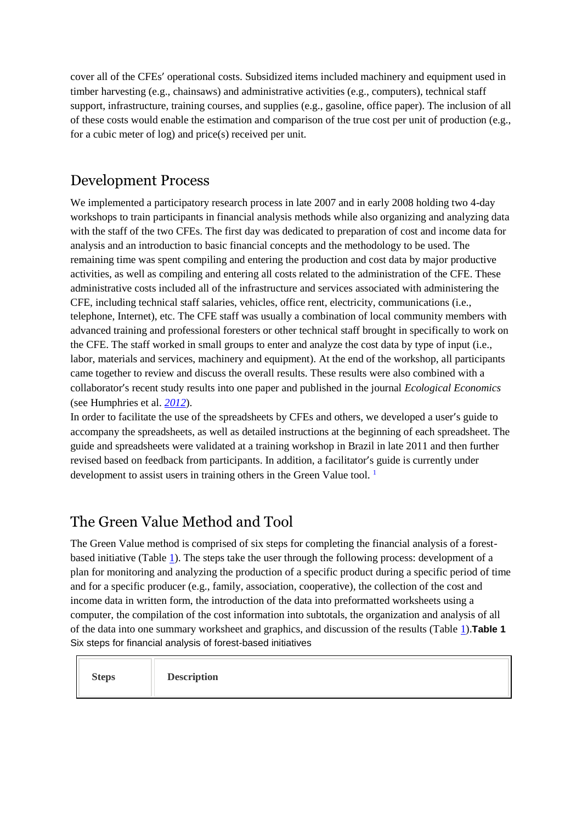cover all of the CFEs' operational costs. Subsidized items included machinery and equipment used in timber harvesting (e.g., chainsaws) and administrative activities (e.g., computers), technical staff support, infrastructure, training courses, and supplies (e.g., gasoline, office paper). The inclusion of all of these costs would enable the estimation and comparison of the true cost per unit of production (e.g., for a cubic meter of log) and price(s) received per unit.

## Development Process

We implemented a participatory research process in late 2007 and in early 2008 holding two 4-day workshops to train participants in financial analysis methods while also organizing and analyzing data with the staff of the two CFEs. The first day was dedicated to preparation of cost and income data for analysis and an introduction to basic financial concepts and the methodology to be used. The remaining time was spent compiling and entering the production and cost data by major productive activities, as well as compiling and entering all costs related to the administration of the CFE. These administrative costs included all of the infrastructure and services associated with administering the CFE, including technical staff salaries, vehicles, office rent, electricity, communications (i.e., telephone, Internet), etc. The CFE staff was usually a combination of local community members with advanced training and professional foresters or other technical staff brought in specifically to work on the CFE. The staff worked in small groups to enter and analyze the cost data by type of input (i.e., labor, materials and services, machinery and equipment). At the end of the workshop, all participants came together to review and discuss the overall results. These results were also combined with a collaborator's recent study results into one paper and published in the journal *Ecological Economics* (see Humphries et al. *[2012](#page-16-4)*).

In order to facilitate the use of the spreadsheets by CFEs and others, we developed a user's guide to accompany the spreadsheets, as well as detailed instructions at the beginning of each spreadsheet. The guide and spreadsheets were validated at a training workshop in Brazil in late 2011 and then further revised based on feedback from participants. In addition, a facilitator's guide is currently under developmentto assist users in training others in the Green Value tool.<sup>1</sup>

## The Green Value Method and Tool

The Green Value method is comprised of six steps for completing the financial analysis of a forestbased initiative (Table [1\)](#page-3-0). The steps take the user through the following process: development of a plan for monitoring and analyzing the production of a specific product during a specific period of time and for a specific producer (e.g., family, association, cooperative), the collection of the cost and income data in written form, the introduction of the data into preformatted worksheets using a computer, the compilation of the cost information into subtotals, the organization and analysis of all of the data into one summary worksheet and graphics, and discussion of the results (Table [1\)](#page-3-0).**Table 1** Six steps for financial analysis of forest-based initiatives

<span id="page-3-0"></span>

| <b>Steps</b> | <b>Description</b> |
|--------------|--------------------|
|--------------|--------------------|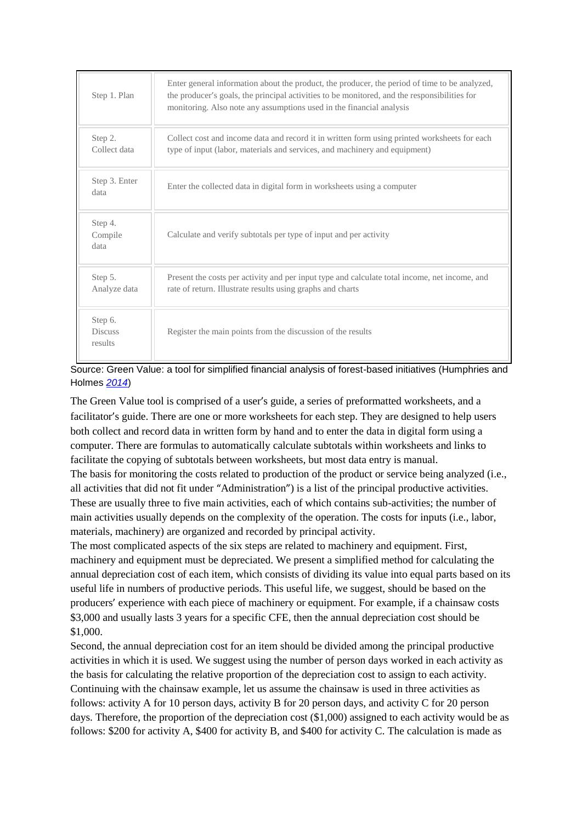| Step 1. Plan                         | Enter general information about the product, the producer, the period of time to be analyzed,<br>the producer's goals, the principal activities to be monitored, and the responsibilities for<br>monitoring. Also note any assumptions used in the financial analysis |
|--------------------------------------|-----------------------------------------------------------------------------------------------------------------------------------------------------------------------------------------------------------------------------------------------------------------------|
| Step 2.<br>Collect data              | Collect cost and income data and record it in written form using printed worksheets for each<br>type of input (labor, materials and services, and machinery and equipment)                                                                                            |
| Step 3. Enter<br>data                | Enter the collected data in digital form in worksheets using a computer                                                                                                                                                                                               |
| Step 4.<br>Compile<br>data           | Calculate and verify subtotals per type of input and per activity                                                                                                                                                                                                     |
| Step 5.<br>Analyze data              | Present the costs per activity and per input type and calculate total income, net income, and<br>rate of return. Illustrate results using graphs and charts                                                                                                           |
| Step 6.<br><b>Discuss</b><br>results | Register the main points from the discussion of the results                                                                                                                                                                                                           |



The Green Value tool is comprised of a user's guide, a series of preformatted worksheets, and a facilitator's guide. There are one or more worksheets for each step. They are designed to help users both collect and record data in written form by hand and to enter the data in digital form using a computer. There are formulas to automatically calculate subtotals within worksheets and links to facilitate the copying of subtotals between worksheets, but most data entry is manual.

The basis for monitoring the costs related to production of the product or service being analyzed (i.e., all activities that did not fit under "Administration") is a list of the principal productive activities. These are usually three to five main activities, each of which contains sub-activities; the number of main activities usually depends on the complexity of the operation. The costs for inputs (i.e., labor, materials, machinery) are organized and recorded by principal activity.

The most complicated aspects of the six steps are related to machinery and equipment. First, machinery and equipment must be depreciated. We present a simplified method for calculating the annual depreciation cost of each item, which consists of dividing its value into equal parts based on its useful life in numbers of productive periods. This useful life, we suggest, should be based on the producers' experience with each piece of machinery or equipment. For example, if a chainsaw costs \$3,000 and usually lasts 3 years for a specific CFE, then the annual depreciation cost should be \$1,000.

Second, the annual depreciation cost for an item should be divided among the principal productive activities in which it is used. We suggest using the number of person days worked in each activity as the basis for calculating the relative proportion of the depreciation cost to assign to each activity. Continuing with the chainsaw example, let us assume the chainsaw is used in three activities as follows: activity A for 10 person days, activity B for 20 person days, and activity C for 20 person days. Therefore, the proportion of the depreciation cost (\$1,000) assigned to each activity would be as follows: \$200 for activity A, \$400 for activity B, and \$400 for activity C. The calculation is made as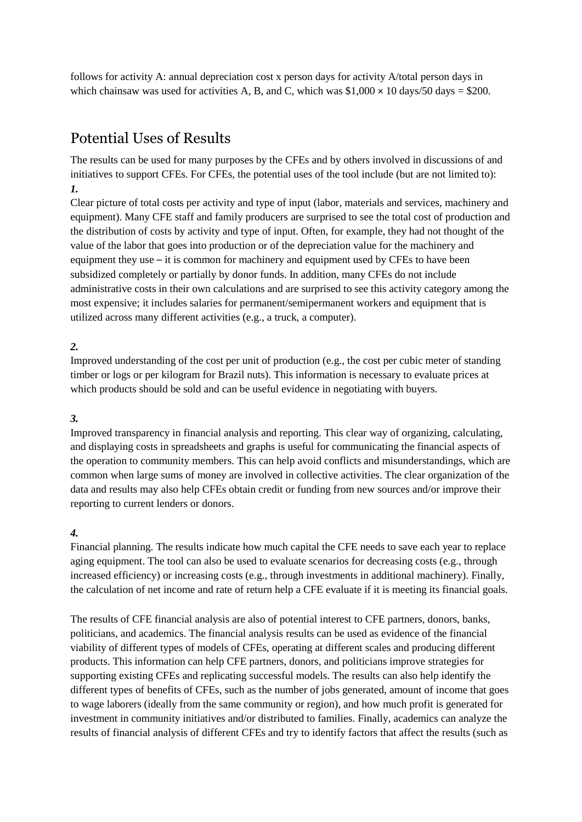follows for activity A: annual depreciation cost x person days for activity A/total person days in which chainsaw was used for activities A, B, and C, which was  $$1,000 \times 10$  days/50 days = \$200.

## Potential Uses of Results

The results can be used for many purposes by the CFEs and by others involved in discussions of and initiatives to support CFEs. For CFEs, the potential uses of the tool include (but are not limited to): *1.*

Clear picture of total costs per activity and type of input (labor, materials and services, machinery and equipment). Many CFE staff and family producers are surprised to see the total cost of production and the distribution of costs by activity and type of input. Often, for example, they had not thought of the value of the labor that goes into production or of the depreciation value for the machinery and equipment they use – it is common for machinery and equipment used by CFEs to have been subsidized completely or partially by donor funds. In addition, many CFEs do not include administrative costs in their own calculations and are surprised to see this activity category among the most expensive; it includes salaries for permanent/semipermanent workers and equipment that is utilized across many different activities (e.g., a truck, a computer).

### *2.*

Improved understanding of the cost per unit of production (e.g., the cost per cubic meter of standing timber or logs or per kilogram for Brazil nuts). This information is necessary to evaluate prices at which products should be sold and can be useful evidence in negotiating with buyers.

### *3.*

Improved transparency in financial analysis and reporting. This clear way of organizing, calculating, and displaying costs in spreadsheets and graphs is useful for communicating the financial aspects of the operation to community members. This can help avoid conflicts and misunderstandings, which are common when large sums of money are involved in collective activities. The clear organization of the data and results may also help CFEs obtain credit or funding from new sources and/or improve their reporting to current lenders or donors.

### *4.*

Financial planning. The results indicate how much capital the CFE needs to save each year to replace aging equipment. The tool can also be used to evaluate scenarios for decreasing costs (e.g., through increased efficiency) or increasing costs (e.g., through investments in additional machinery). Finally, the calculation of net income and rate of return help a CFE evaluate if it is meeting its financial goals.

The results of CFE financial analysis are also of potential interest to CFE partners, donors, banks, politicians, and academics. The financial analysis results can be used as evidence of the financial viability of different types of models of CFEs, operating at different scales and producing different products. This information can help CFE partners, donors, and politicians improve strategies for supporting existing CFEs and replicating successful models. The results can also help identify the different types of benefits of CFEs, such as the number of jobs generated, amount of income that goes to wage laborers (ideally from the same community or region), and how much profit is generated for investment in community initiatives and/or distributed to families. Finally, academics can analyze the results of financial analysis of different CFEs and try to identify factors that affect the results (such as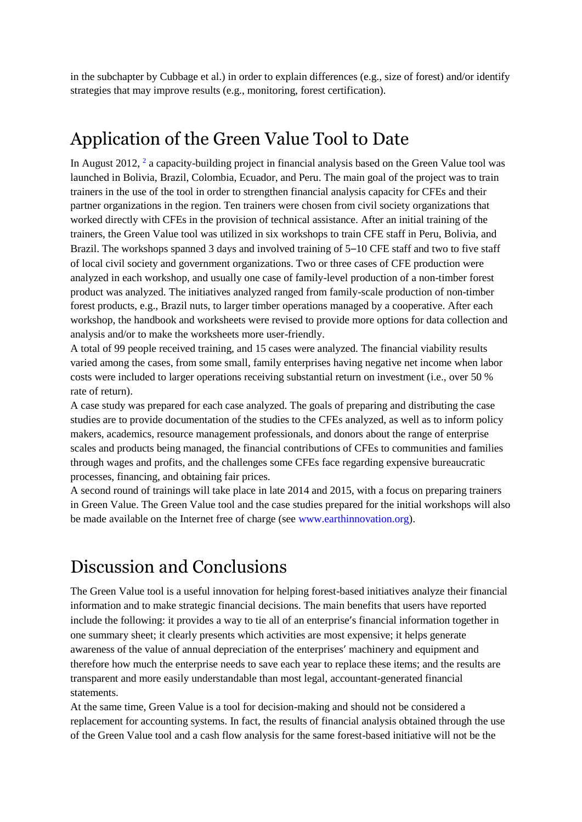in the subchapter by Cubbage et al.) in order to explain differences (e.g., size of forest) and/or identify strategies that may improve results (e.g., monitoring, forest certification).

## Application of the Green Value Tool to Date

In August [2](#page-17-7)012,  $2$  a capacity-building project in financial analysis based on the Green Value tool was launched in Bolivia, Brazil, Colombia, Ecuador, and Peru. The main goal of the project was to train trainers in the use of the tool in order to strengthen financial analysis capacity for CFEs and their partner organizations in the region. Ten trainers were chosen from civil society organizations that worked directly with CFEs in the provision of technical assistance. After an initial training of the trainers, the Green Value tool was utilized in six workshops to train CFE staff in Peru, Bolivia, and Brazil. The workshops spanned 3 days and involved training of 5–10 CFE staff and two to five staff of local civil society and government organizations. Two or three cases of CFE production were analyzed in each workshop, and usually one case of family-level production of a non-timber forest product was analyzed. The initiatives analyzed ranged from family-scale production of non-timber forest products, e.g., Brazil nuts, to larger timber operations managed by a cooperative. After each workshop, the handbook and worksheets were revised to provide more options for data collection and analysis and/or to make the worksheets more user-friendly.

A total of 99 people received training, and 15 cases were analyzed. The financial viability results varied among the cases, from some small, family enterprises having negative net income when labor costs were included to larger operations receiving substantial return on investment (i.e., over 50 % rate of return).

A case study was prepared for each case analyzed. The goals of preparing and distributing the case studies are to provide documentation of the studies to the CFEs analyzed, as well as to inform policy makers, academics, resource management professionals, and donors about the range of enterprise scales and products being managed, the financial contributions of CFEs to communities and families through wages and profits, and the challenges some CFEs face regarding expensive bureaucratic processes, financing, and obtaining fair prices.

A second round of trainings will take place in late 2014 and 2015, with a focus on preparing trainers in Green Value. The Green Value tool and the case studies prepared for the initial workshops will also be made available on the Internet free of charge (see [www.earthinnovation.org\)](http://www.earthinnovation.org/).

# Discussion and Conclusions

The Green Value tool is a useful innovation for helping forest-based initiatives analyze their financial information and to make strategic financial decisions. The main benefits that users have reported include the following: it provides a way to tie all of an enterprise's financial information together in one summary sheet; it clearly presents which activities are most expensive; it helps generate awareness of the value of annual depreciation of the enterprises' machinery and equipment and therefore how much the enterprise needs to save each year to replace these items; and the results are transparent and more easily understandable than most legal, accountant-generated financial statements.

At the same time, Green Value is a tool for decision-making and should not be considered a replacement for accounting systems. In fact, the results of financial analysis obtained through the use of the Green Value tool and a cash flow analysis for the same forest-based initiative will not be the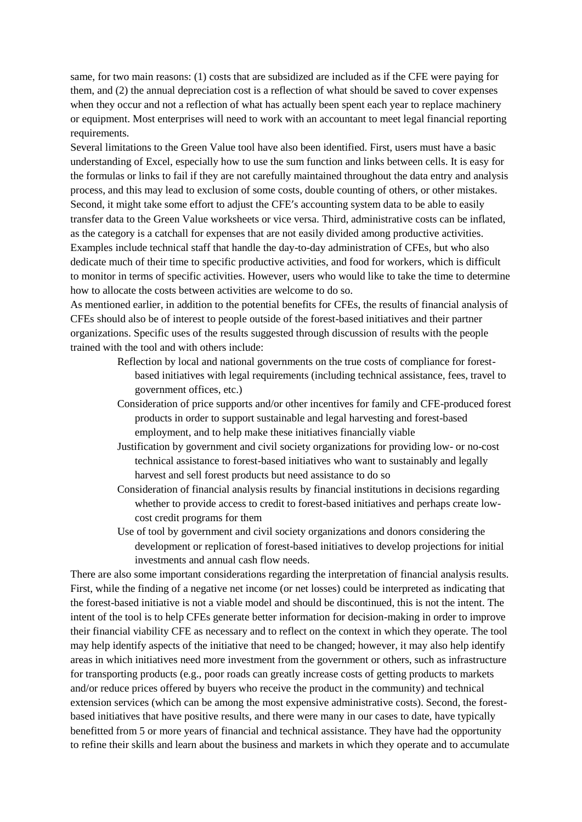same, for two main reasons: (1) costs that are subsidized are included as if the CFE were paying for them, and (2) the annual depreciation cost is a reflection of what should be saved to cover expenses when they occur and not a reflection of what has actually been spent each year to replace machinery or equipment. Most enterprises will need to work with an accountant to meet legal financial reporting requirements.

Several limitations to the Green Value tool have also been identified. First, users must have a basic understanding of Excel, especially how to use the sum function and links between cells. It is easy for the formulas or links to fail if they are not carefully maintained throughout the data entry and analysis process, and this may lead to exclusion of some costs, double counting of others, or other mistakes. Second, it might take some effort to adjust the CFE's accounting system data to be able to easily transfer data to the Green Value worksheets or vice versa. Third, administrative costs can be inflated, as the category is a catchall for expenses that are not easily divided among productive activities. Examples include technical staff that handle the day-to-day administration of CFEs, but who also dedicate much of their time to specific productive activities, and food for workers, which is difficult to monitor in terms of specific activities. However, users who would like to take the time to determine how to allocate the costs between activities are welcome to do so.

As mentioned earlier, in addition to the potential benefits for CFEs, the results of financial analysis of CFEs should also be of interest to people outside of the forest-based initiatives and their partner organizations. Specific uses of the results suggested through discussion of results with the people trained with the tool and with others include:

- Reflection by local and national governments on the true costs of compliance for forestbased initiatives with legal requirements (including technical assistance, fees, travel to government offices, etc.)
- Consideration of price supports and/or other incentives for family and CFE-produced forest products in order to support sustainable and legal harvesting and forest-based employment, and to help make these initiatives financially viable
- Justification by government and civil society organizations for providing low- or no-cost technical assistance to forest-based initiatives who want to sustainably and legally harvest and sell forest products but need assistance to do so
- Consideration of financial analysis results by financial institutions in decisions regarding whether to provide access to credit to forest-based initiatives and perhaps create lowcost credit programs for them
- Use of tool by government and civil society organizations and donors considering the development or replication of forest-based initiatives to develop projections for initial investments and annual cash flow needs.

There are also some important considerations regarding the interpretation of financial analysis results. First, while the finding of a negative net income (or net losses) could be interpreted as indicating that the forest-based initiative is not a viable model and should be discontinued, this is not the intent. The intent of the tool is to help CFEs generate better information for decision-making in order to improve their financial viability CFE as necessary and to reflect on the context in which they operate. The tool may help identify aspects of the initiative that need to be changed; however, it may also help identify areas in which initiatives need more investment from the government or others, such as infrastructure for transporting products (e.g., poor roads can greatly increase costs of getting products to markets and/or reduce prices offered by buyers who receive the product in the community) and technical extension services (which can be among the most expensive administrative costs). Second, the forestbased initiatives that have positive results, and there were many in our cases to date, have typically benefitted from 5 or more years of financial and technical assistance. They have had the opportunity to refine their skills and learn about the business and markets in which they operate and to accumulate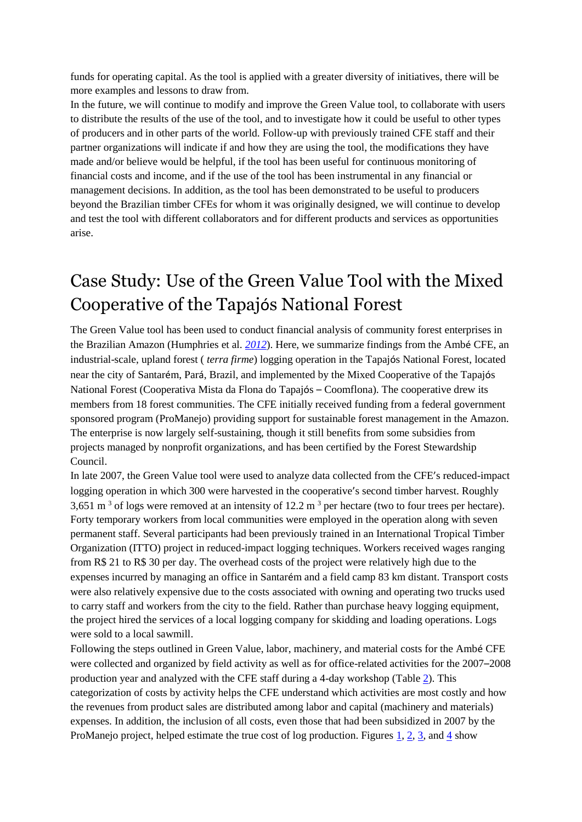funds for operating capital. As the tool is applied with a greater diversity of initiatives, there will be more examples and lessons to draw from.

In the future, we will continue to modify and improve the Green Value tool, to collaborate with users to distribute the results of the use of the tool, and to investigate how it could be useful to other types of producers and in other parts of the world. Follow-up with previously trained CFE staff and their partner organizations will indicate if and how they are using the tool, the modifications they have made and/or believe would be helpful, if the tool has been useful for continuous monitoring of financial costs and income, and if the use of the tool has been instrumental in any financial or management decisions. In addition, as the tool has been demonstrated to be useful to producers beyond the Brazilian timber CFEs for whom it was originally designed, we will continue to develop and test the tool with different collaborators and for different products and services as opportunities arise.

# Case Study: Use of the Green Value Tool with the Mixed Cooperative of the Tapajós National Forest

The Green Value tool has been used to conduct financial analysis of community forest enterprises in the Brazilian Amazon (Humphries et al. *[2012](#page-16-4)*). Here, we summarize findings from the Ambé CFE, an industrial-scale, upland forest ( *terra firme*) logging operation in the Tapajós National Forest, located near the city of Santarém, Pará, Brazil, and implemented by the Mixed Cooperative of the Tapajós National Forest (Cooperativa Mista da Flona do Tapajós – Coomflona). The cooperative drew its members from 18 forest communities. The CFE initially received funding from a federal government sponsored program (ProManejo) providing support for sustainable forest management in the Amazon. The enterprise is now largely self-sustaining, though it still benefits from some subsidies from projects managed by nonprofit organizations, and has been certified by the Forest Stewardship Council.

In late 2007, the Green Value tool were used to analyze data collected from the CFE's reduced-impact logging operation in which 300 were harvested in the cooperative's second timber harvest. Roughly 3,651 m<sup>3</sup> of logs were removed at an intensity of 12.2 m<sup>3</sup> per hectare (two to four trees per hectare). Forty temporary workers from local communities were employed in the operation along with seven permanent staff. Several participants had been previously trained in an International Tropical Timber Organization (ITTO) project in reduced-impact logging techniques. Workers received wages ranging from R\$ 21 to R\$ 30 per day. The overhead costs of the project were relatively high due to the expenses incurred by managing an office in Santarém and a field camp 83 km distant. Transport costs were also relatively expensive due to the costs associated with owning and operating two trucks used to carry staff and workers from the city to the field. Rather than purchase heavy logging equipment, the project hired the services of a local logging company for skidding and loading operations. Logs were sold to a local sawmill.

Following the steps outlined in Green Value, labor, machinery, and material costs for the Ambé CFE were collected and organized by field activity as well as for office-related activities for the 2007–2008 production year and analyzed with the CFE staff during a 4-day workshop (Tabl[e 2\)](#page-9-0). This categorization of costs by activity helps the CFE understand which activities are most costly and how the revenues from product sales are distributed among labor and capital (machinery and materials) expenses. In addition, the inclusion of all costs, even those that had been subsidized in 2007 by the ProManejo project, helped estimate the true cost of log production. Figures  $1, 2, 3$  $1, 2, 3$  $1, 2, 3$ , and  $4$  show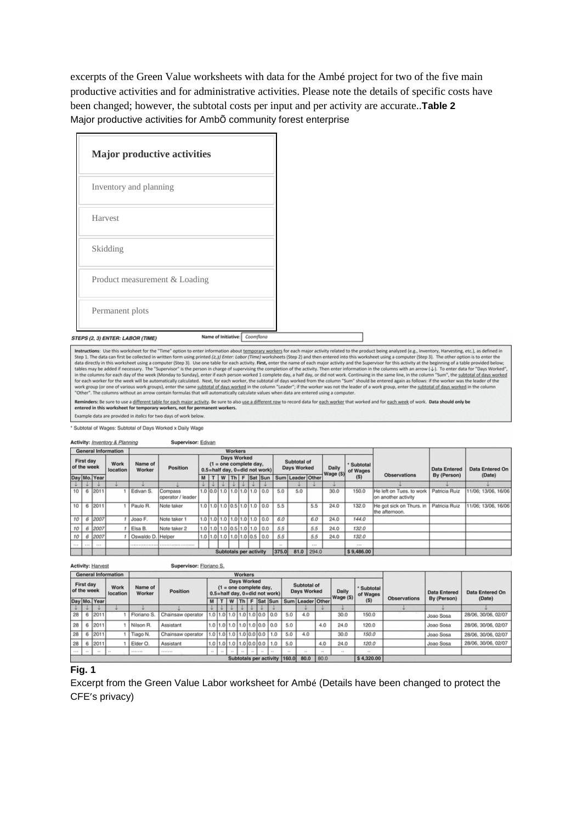excerpts of the Green Value worksheets with data for the Ambé project for two of the five main productive activities and for administrative activities. Please note the details of specific costs have been changed; however, the subtotal costs per input and per activity are accurate..**Table 2** Major productive activities for AmbÕ community forest enterprise

<span id="page-9-0"></span>

| <b>Major productive activities</b>                                |  |
|-------------------------------------------------------------------|--|
| Inventory and planning                                            |  |
| Harvest                                                           |  |
| Skidding                                                          |  |
| Product measurement & Loading                                     |  |
| Permanent plots                                                   |  |
| Name of Initiative: Coomflona<br>STEPS (2, 3) ENTER: LABOR (TIME) |  |

<span id="page-9-1"></span>Instructions: Use this worksheet for the "Time" option to enter information about <u>temporary workers</u> for each major activity related to the product being analyzed (e.g., Inventory, Harvesting, etc.), as defined in Step 1

Reminders: Be sure to use a different table for each major activity. Be sure to also use a different row to record data for each worker that worked and for each week of work. Data should only be entered in this worksheet for temporary workers, not for permanent workers.

Example data are provided in italics for two days of work below

Subtotal of Wages: Subtotal of Days Worked x Daily Wage

|                 |                          |              | Activity: Inventory & Planning |                   | Supervisor: Edivan           |     |  |                |                          |                               |       |                            |                |           |                        |                                                 |                     |                     |
|-----------------|--------------------------|--------------|--------------------------------|-------------------|------------------------------|-----|--|----------------|--------------------------|-------------------------------|-------|----------------------------|----------------|-----------|------------------------|-------------------------------------------------|---------------------|---------------------|
|                 |                          |              | <b>General Information</b>     |                   |                              |     |  | <b>Workers</b> |                          |                               |       |                            |                |           |                        |                                                 |                     |                     |
|                 | First day<br>of the week |              | Work<br>location               | Name of<br>Worker | Position                     |     |  | Days Worked    | $(1 =$ one complete day. | 0.5=half day, 0=did not work) |       | Subtotal of<br>Days Worked |                |           | * Subtotal<br>of Wages |                                                 | <b>Data Entered</b> | Data Entered On     |
|                 |                          | Day Mo. Year |                                |                   |                              | M I |  |                |                          | $T$   W   Th   F   Sat   Sun  |       | Sum Leader Other           |                | Wage (\$) | (S)                    | <b>Observations</b>                             | By (Person)         | (Date)              |
| $\downarrow$    |                          |              |                                |                   |                              |     |  |                |                          |                               |       |                            |                |           |                        |                                                 |                     |                     |
| 10              |                          | 6 2011       |                                | Edivan S.         | Compass<br>operator / leader |     |  |                |                          | 1.0 0.0 1.0 1.0 1.0 1.0 0.0   | 5.0   | 5.0                        |                | 30.0      | 150.0                  | He left on Tues, to work<br>on another activity | Patricia Ruiz       | 11/06: 13/06. 16/06 |
| 10              | 6                        | 2011         |                                | Paulo R.          | Note taker                   |     |  |                |                          | 1.0 1.0 1.0 0.5 1.0 1.0 0.0   | 5.5   |                            | 5.5            | 24.0      | 132.0                  | He got sick on Thurs. in<br>the afternoon.      | Patricia Ruiz       | 11/06: 13/06. 16/06 |
| 10              |                          | 6 2007       |                                | Joao F.           | Note taker 1                 |     |  |                |                          | 1.0 1.0 1.0 1.0 1.0 1.0 0.0   | 6.0   |                            | 6.0            | 24.0      | 144.0                  |                                                 |                     |                     |
| 10 <sup>1</sup> | 6                        | 2007         |                                | Elsa B.           | Note taker 2                 |     |  |                |                          | 1.0 1.0 1.0 0.5 1.0 1.0 0.0   | 5.5   |                            | 5.5            | 24.0      | 132.0                  |                                                 |                     |                     |
| 10              |                          | 2007         |                                | Oswaldo D. Helper |                              |     |  |                |                          | 1.0 1.0 1.0 1.0 1.0 0.5 0.0   | 5.5   |                            | 5.5            | 24.0      | 132.0                  |                                                 |                     |                     |
| 1.1.1           |                          | $-$          |                                |                   |                              |     |  |                |                          |                               |       |                            | <b>A 19 19</b> |           | 1.111                  |                                                 |                     |                     |
|                 |                          |              |                                |                   |                              |     |  |                | Subtotals per activity   |                               | 375.0 |                            | 81.0 294.0     |           | \$9,486.00             |                                                 |                     |                     |

**Activity: Harvest** Supervisor: Floriano S. Workers<br>Days Worked General Information First day<br>of the week Subtotal of Work Name of  $(1 =$  one complete day,<br>0.5=half day, 0=did not work) Subtota Position Days Worked Daily **Data Entered** Data Entered On of Wage<br>(\$) location Worker wany<br>Wage (\$) Day Mo. Year M | T | W | Th | F | Sat | Sun | Sum | Leader | Other Observations By (Person) (Date)  $\frac{1}{28}$  6 2011 τ  $\downarrow$  $\downarrow$ Floriano S Chainsaw operator  $\overline{5.0}$  $4.0$  $30.0$  $150.0$ 28/06, 30/06, 02/07 Joao Sosa  $28 \t6 \t2011$  $1.0$  1.0 1.0 1.0 1.0 0.0 0.0  $\overline{1}$ Nilson R Assistant  $5,0$  $4,0$  $24.0$ 120.0 Joao Sosa 28/06, 30/06, 02/07  $28 \t6 \t2011$ Chainsaw operator  $1.0$  1.0 1.0 1.0 0.0 0.0 1.0 5.0  $30.0$ 150.0 Tiago N.  $4.0$  $\overline{1}$ Joan Sosa 28/06.30/06.02/07  $\begin{array}{ccccccccccccc}\n1.0 & 1.0 & 1.0 & 1.0 & 0.0 & 0.0 & 1.0 & 5.0 \\
\hline\n\end{array}$  $\begin{array}{|c|c|c|c|c|}\n\hline\n28 & 6 & 2011 \\
\hline\n\cdots & \cdots & \cdots\n\end{array}$  $1$  Elder O. Assistant  $4.0$  $24.0$ 120.0 Joao Sosa 28/06. 30/06. 02/07 Subtotals per activity 160.0 \$4,320.00 80.0 80

### **Fig. 1**

Excerpt from the Green Value Labor worksheet for Ambé (Details have been changed to protect the CFE's privacy)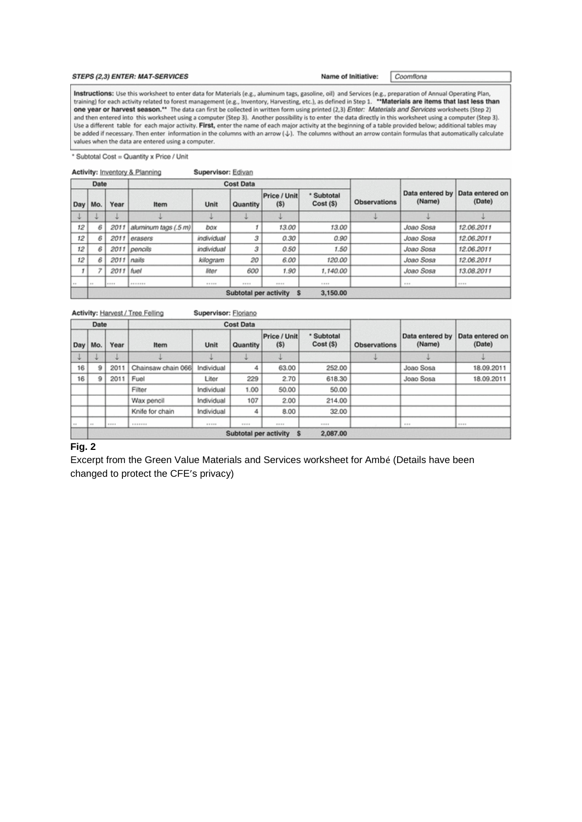#### <span id="page-10-0"></span>STEPS (2,3) ENTER: MAT-SERVICES

Name of Initiative:

Coomflona

Instructions: Use this worksheet to enter data for Materials (e.g., aluminum tags, gasoline, oil) and Services (e.g., preparation of Annual Operating Plan,<br>training) for each activity related to forest management (e.g., In one year or harvest season.\*\* The data can first be collected in written form using printed (2,3) Enter: Materials and Services worksheets (Step 2) and then entered into this worksheet using a computer (Step 3). Another possibility is to enter the data directly in this worksheet using a computer (Step 3). Use a different table for each major activity. First, enter the name of each major activity at the beginning of a table provided below; additional tables may be added if necessary. Then enter information in the columns with an arrow ( $\downarrow$ ). The columns without an arrow contain formulas that automatically calculate values when the data are entered using a computer.

Subtotal Cost = Quantity x Price / Unit

Activity: Inventory & Planning Supervisor: Edivan

|          | Date |              |                              |            | <b>Cost Data</b> |                              |                         |                     |           |                                           |
|----------|------|--------------|------------------------------|------------|------------------|------------------------------|-------------------------|---------------------|-----------|-------------------------------------------|
| Day      | Mo.  | Year         | Item                         | Unit       | Quantity         | Price / Unit<br>(S)          | * Subtotal<br>Cost (\$) | <b>Observations</b> | (Name)    | Data entered by Data entered on<br>(Date) |
|          |      |              |                              |            |                  |                              |                         |                     |           |                                           |
| 12       | 6    | 2011         | aluminum tags (.5 m)         | box        |                  | 13.00                        | 13.00                   |                     | Joao Sosa | 12.06.2011                                |
| 12       | 6    |              | 2011 erasers                 | individual | 3                | 0.30                         | 0.90                    |                     | Joao Sosa | 12.06.2011                                |
| 12       |      |              | 2011 pencils                 | individual | з                | 0.50                         | 1.50                    |                     | Joao Sosa | 12.06.2011                                |
| 12       | ß    |              | $2011$ nails                 | kilogram   | 20               | 6.00                         | 120.00                  |                     | Joao Sosa | 12.06.2011                                |
| Ť        | ٠    | 2011   fuel  |                              | liter      | 600              | 1.90                         | 1,140.00                |                     | Joao Sosa | 13.08.2011                                |
| $\cdots$ | 1.1  | <b>BERTH</b> | <b><i><u>RESERVE</u></i></b> | 21.202     | 100,000          | <b>HERE</b>                  | 11111                   |                     | 1.11      | <b>HERE</b>                               |
|          |      |              |                              |            |                  | Subtotal per activity<br>- S | 3,150.00                |                     |           |                                           |

Activity: Harvest / Tree Felling Supervisor: Floriano

|            | Date          |             |                                          |                | <b>Cost Data</b> |                     |                         |                     |                           |                           |
|------------|---------------|-------------|------------------------------------------|----------------|------------------|---------------------|-------------------------|---------------------|---------------------------|---------------------------|
| Day        | Mo.           | Year        | <b>Item</b>                              | Unit           | Quantity         | Price / Unit<br>(S) | * Subtotal<br>Cost (\$) | <b>Observations</b> | Data entered by<br>(Name) | Data entered on<br>(Date) |
|            |               |             |                                          |                |                  |                     |                         |                     |                           |                           |
| 16         | 9             | 2011        | Chainsaw chain 066                       | Individual     |                  | 63.00               | 252.00                  |                     | Joao Sosa                 | 18.09.2011                |
| 16         | 9             | 2011        | Fuel                                     | Liter          | 229              | 2.70                | 618.30                  |                     | Joao Sosa                 | 18.09.2011                |
|            |               |             | Filter                                   | Individual     | 1.00             | 50.00               | 50.00                   |                     |                           |                           |
|            |               |             | Wax pencil                               | Individual     | 107              | 2.00                | 214.00                  |                     |                           |                           |
|            |               |             | Knife for chain                          | Individual     | 4                | 8.00                | 32.00                   |                     |                           |                           |
| <b>COL</b> | $\frac{1}{2}$ | 18 10 11 11 | <b><i>BARRER</i></b>                     | $41.47 - 4.47$ | 日本文庫             | ■ 新 新 編             | $18.11 - 10.4$          |                     | 4.8.0                     | $-1000$                   |
|            |               |             | 2,087.00<br>Subtotal per activity<br>- s |                |                  |                     |                         |                     |                           |                           |

### **Fig. 2**

Excerpt from the Green Value Materials and Services worksheet for Ambé (Details have been changed to protect the CFE's privacy)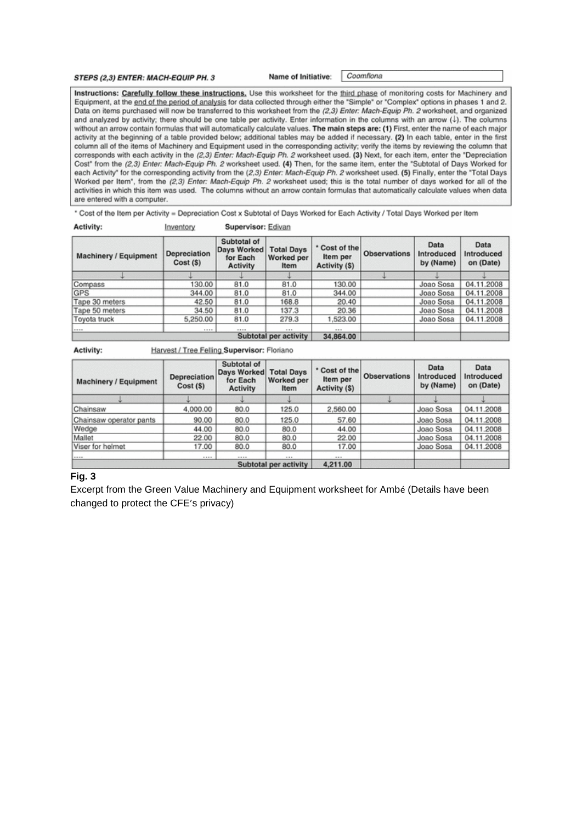<span id="page-11-0"></span>STEPS (2,3) ENTER: MACH-EQUIP PH. 3

Name of Initiative: Coomflona

Instructions: Carefully follow these instructions, Use this worksheet for the third phase of monitoring costs for Machinery and Equipment, at the end of the period of analysis for data collected through either the "Simple" or "Complex" options in phases 1 and 2. Data on items purchased will now be transferred to this worksheet from the (2,3) Enter: Mach-Equip Ph. 2 worksheet, and organized and analyzed by activity; there should be one table per activity. Enter information in the columns with an arrow (1). The columns without an arrow contain formulas that will automatically calculate values. The main steps are: (1) First, enter the name of each major activity at the beginning of a table provided below; additional tables may be added if necessary. (2) In each table, enter in the first column all of the items of Machinery and Equipment used in the corresponding activity; verify the items by reviewing the column that corresponds with each activity in the (2,3) Enter: Mach-Equip Ph. 2 worksheet used. (3) Next, for each item, enter the "Depreciation Cost" from the (2,3) Enter: Mach-Equip Ph. 2 worksheet used. (4) Then, for the same item, enter the "Subtotal of Days Worked for each Activity" for the corresponding activity from the (2,3) Enter: Mach-Equip Ph. 2 worksheet used. (5) Finally, enter the "Total Days Worked per Item", from the (2,3) Enter: Mach-Equip Ph. 2 worksheet used; this is the total number of days worked for all of the activities in which this item was used. The columns without an arrow contain formulas that automatically calculate values when data are entered with a computer.

\* Cost of the Item per Activity = Depreciation Cost x Subtotal of Days Worked for Each Activity / Total Days Worked per Item

| Activity:             | Inventory               | Supervisor: Edivan                                 |                                         |                                           |                     |                                 |                                 |
|-----------------------|-------------------------|----------------------------------------------------|-----------------------------------------|-------------------------------------------|---------------------|---------------------------------|---------------------------------|
| Machinery / Equipment | Depreciation<br>Cost(S) | Subtotal of<br>Days Worked<br>for Each<br>Activity | <b>Total Days</b><br>Worked per<br>Item | * Cost of the<br>Item per<br>Activity (S) | <b>Observations</b> | Data<br>Introduced<br>by (Name) | Data<br>Introduced<br>on (Date) |
|                       |                         |                                                    |                                         |                                           |                     |                                 |                                 |
| Compass               | 130.00                  | 81.0                                               | 81.0                                    | 130.00                                    |                     | Joao Sosa                       | 04.11.2008                      |
| GPS                   | 344.00                  | 81.0                                               | 81.0                                    | 344.00                                    |                     | Joao Sosa                       | 04.11.2008                      |
| Tape 30 meters        | 42.50                   | 81.0                                               | 168.8                                   | 20.40                                     |                     | Joao Sosa                       | 04.11.2008                      |
| Tape 50 meters        | 34.50                   | 81.0                                               | 137.3                                   | 20.36                                     |                     | Joao Sosa                       | 04.11.2008                      |
| Toyota truck          | 5,250.00                | 81.0                                               | 279.3                                   | 1,523.00                                  |                     | Joao Sosa                       | 04.11.2008                      |
| $1 - 1 - 1$           |                         |                                                    |                                         |                                           |                     |                                 |                                 |
|                       |                         |                                                    | Subtotal per activity                   | 34,864.00                                 |                     |                                 |                                 |

Activity: Harvest / Tree Felling Supervisor: Floriano

| <b>Machinery / Equipment</b>  | Depreciation<br>Cost(S) | Subtotal of<br>Days Worked<br>for Each<br><b>Activity</b> | <b>Total Days</b><br>Worked per<br>Item | * Cost of the<br>Item per<br>Activity (\$) | <b>Observations</b> | Data<br>Introduced<br>by (Name) | Data<br>Introduced<br>on (Date) |
|-------------------------------|-------------------------|-----------------------------------------------------------|-----------------------------------------|--------------------------------------------|---------------------|---------------------------------|---------------------------------|
|                               |                         |                                                           |                                         |                                            |                     |                                 |                                 |
| Chainsaw                      | 4,000.00                | 80.0                                                      | 125.0                                   | 2,560.00                                   |                     | Joao Sosa                       | 04.11.2008                      |
| Chainsaw operator pants       | 90.00                   | 80.0                                                      | 125.0                                   | 57.60                                      |                     | Joao Sosa                       | 04.11.2008                      |
| Wedge                         | 44.00                   | 80.0                                                      | 80.0                                    | 44.00                                      |                     | Joao Sosa                       | 04.11.2008                      |
| Mallet                        | 22.00                   | 80.0                                                      | 80.0                                    | 22.00                                      |                     | Joao Sosa                       | 04.11.2008                      |
| Viser for helmet              | 17.00                   | 80.0                                                      | 80.0                                    | 17.00                                      |                     | Joao Sosa                       | 04.11.2008                      |
| <b><i><u>Property</u></i></b> |                         |                                                           |                                         |                                            |                     |                                 |                                 |
|                               |                         |                                                           | Subtotal per activity                   | 4,211.00                                   |                     |                                 |                                 |

### **Fig. 3**

Excerpt from the Green Value Machinery and Equipment worksheet for Ambé (Details have been changed to protect the CFE's privacy)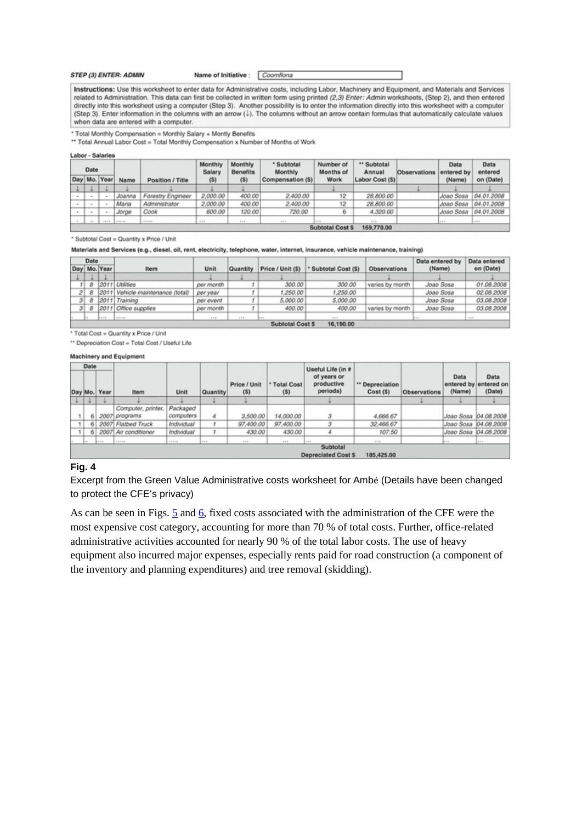<span id="page-12-0"></span>**STEP (3) ENTER: ADMIN** 

Name of Initiative : Coomflona

Instructions: Use this worksheet to enter data for Administrative costs, including Labor, Machinery and Equipment, and Materials and Services related to Administration. This data can first be collected in written form using printed (2,3) Enter: Admin worksheets, (Step 2), and then entered directly into this worksheet using a computer (Step 3). Another possibility is to enter the information directly into this worksheet with a computer (Step 3). Enter information in the columns with an arrow (J). The columns without an arrow contain formulas that automatically calculate values when data are entered with a computer.

\* Total Monthly Compensation = Monthly Salary + Montly Benefits

\*\* Total Annual Labor Cost = Total Monthly Compensation x Number of Months of Work

Labor - Salaries

| Date |              |        |                   | Monthly<br>Salary | Monthly<br><b>Benefits</b> | * Subtotal<br>Monthly | Number of<br>Months of | " Subtotal<br>Annual | <b>Observations</b> | Data<br>entered by | Data<br>entered |
|------|--------------|--------|-------------------|-------------------|----------------------------|-----------------------|------------------------|----------------------|---------------------|--------------------|-----------------|
|      | Day Mo. Year | Name   | Position / Title  | (5)               | (5)                        | Compensation (\$)     | Work                   | Labor Cost (S)       |                     | (Name)             | on (Date)       |
|      |              |        |                   |                   |                            |                       |                        |                      |                     |                    |                 |
|      |              | Joanna | Forestry Engineer | 2,000.00          | 400.00                     | 2,400.00              | 12                     | 28,800.00            |                     | Joao Sosa          | 04.01.2008      |
|      |              | Maria  | Administrator     | 2,000.00          | 400.00                     | 2,400.00              | 12                     | 28,800.00            |                     | Joao Sosa          | 04.01.2008      |
|      |              | Jorge  | Cook              | 600.00            | 120.00                     | 720.00                |                        | 4,320.00             |                     | Joao Sosa          | 04.01.2008      |
| $-1$ | 120121       |        | <b>BARBAR</b>     | <b>HERE</b>       | <b>THE</b>                 | 77.5                  | $-0.01$                | $-1.11$              |                     | or em-             | <b>HER</b>      |
|      |              |        |                   |                   |                            |                       | <b>Subtotal Cost S</b> | 169,770.00           |                     |                    |                 |

\* Subtotal Cost = Quantity x Price / Unit

Materials and Services (e.g., diesel, oil, rent, electricity, telephone, water, internet, insurance, vehicle maintenance, training)

|    | Date |                |                                  |           |          |                 |                                          |                 | Data entered by | Data entered |
|----|------|----------------|----------------------------------|-----------|----------|-----------------|------------------------------------------|-----------------|-----------------|--------------|
|    |      | Day Mo. Year   | <b>Item</b>                      | Unit      | Quantity |                 | Price / Unit (\$)   * Subtotal Cost (\$) | Observations    | (Name)          | on (Date)    |
|    |      |                |                                  |           |          |                 |                                          |                 |                 |              |
|    | 8    |                | 2011 Unities                     | per month |          | 300.00          | 300.00                                   | varies by month | Joao Sosa       | 01.08.2008   |
| 21 |      |                | 2011 Vehicle maintenance (total) | per year  |          | 1,250.00        | 1,250.00                                 |                 | Joao Sosa       | 02.08.2008   |
| зı |      | 2011           | Training                         | per event |          | 5,000.00        | 5,000.00                                 |                 | Joao Sosa       | 03.08.2008   |
|    |      |                | 2011 Office supplies             | per month |          | 400.00          | 400.00                                   | varies by month | Joao Sosa       | 03.08.2008   |
|    |      | <b>Distant</b> | <b>BREEZ</b>                     | 1.11      | $x = x$  | $2n + n$        |                                          |                 |                 | 1.1.1        |
|    |      |                |                                  |           |          | Subtotal Cost S | 16.190.00                                |                 |                 |              |

\* Total Cost = Quantity x Price / Unit

\*\* Depreciation Cost = Total Cost / Useful Life

#### **Machinery and Equipment**

| Date  |               |                      |               |              |                     |                     | Useful Life (in #                      |                            |              |                |                                         |
|-------|---------------|----------------------|---------------|--------------|---------------------|---------------------|----------------------------------------|----------------------------|--------------|----------------|-----------------------------------------|
|       | Day Mo. Year  | <b>Item</b>          | Unit          | Quantity     | Price / Unit<br>(S) | * Total Cost<br>(S) | of years or<br>productive<br>periods)  | " Depreciation<br>Cost (S) | Observations | Data<br>(Name) | Data<br>entered by entered on<br>(Date) |
| 49.97 |               |                      |               |              |                     |                     |                                        |                            |              |                |                                         |
|       |               | Computer, printer,   | Packaged      |              |                     |                     |                                        |                            |              |                |                                         |
|       |               | 2007 programs        | computers     | 4            | 3,500.00            | 14.000.00           | з                                      | 4,666.67                   |              |                | Joao Sosa 04.08.2008                    |
|       |               | 2007 Flatbed Truck   | Individual    |              | 97,400.00           | 97,400.00           |                                        | 32,466.67                  |              | Joao Sosa      | 04.08.2008                              |
|       | 61            | 2007 Air conditioner | Individual    |              | 430.00              | 430.00              |                                        | 107.50                     |              |                | Joao Sosa 04.08.2008                    |
|       | <b>BELLEY</b> | 1.000.000            | <b>ALLENA</b> | $11.8 - 11.$ | $1 - 1$             | 11.11               | $1 + 1 + 1$                            | 1.11                       |              | <b>British</b> | Taxa.                                   |
|       |               |                      |               |              |                     |                     | Subtotal<br><b>Depreciated Cost \$</b> | 185,425.00                 |              |                |                                         |

### Fig. 4

Excerpt from the Green Value Administrative costs worksheet for Ambé (Details have been changed to protect the CFE's privacy)

As can be seen in Figs. 5 and 6, fixed costs associated with the administration of the CFE were the most expensive cost category, accounting for more than 70 % of total costs. Further, office-related administrative activities accounted for nearly 90 % of the total labor costs. The use of heavy equipment also incurred major expenses, especially rents paid for road construction (a component of the inventory and planning expenditures) and tree removal (skidding).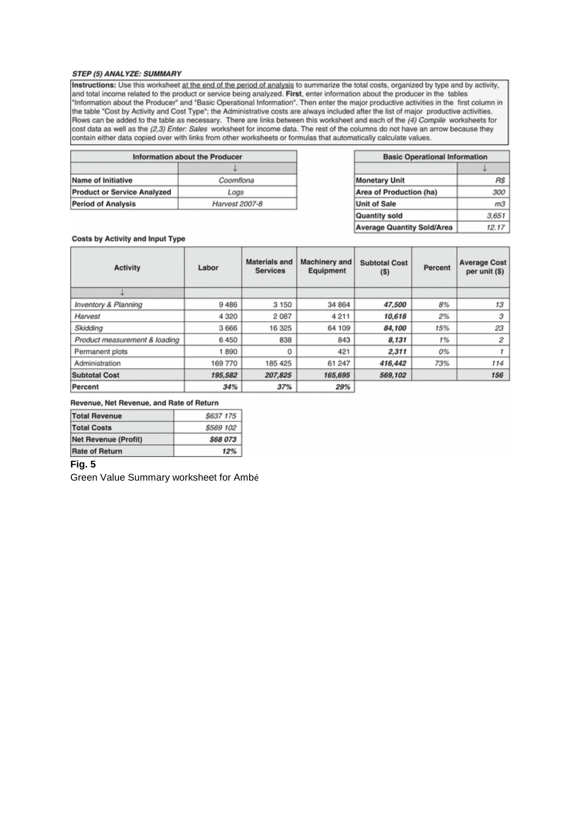#### <span id="page-13-0"></span>STEP (5) ANALYZE: SUMMARY

Instructions: Use this worksheet at the end of the period of analysis to summarize the total costs, organized by type and by activity, and total income related to the product or service being analyzed. First, enter information about the producer in the tables "Information about the Producer" and "Basic Operational Information". Then enter the major productive activities in the first column in the table "Cost by Activity and Cost Type"; the Administrative costs are always included after the list of major productive activities. Rows can be added to the table as necessary. There are links between this worksheet and each of the (4) Compile worksheets for<br>cost data as well as the (2,3) Enter: Sales worksheet for income data. The rest of the columns contain either data copied over with links from other worksheets or formulas that automatically calculate values.

| Information about the Producer     |                |
|------------------------------------|----------------|
|                                    |                |
| Name of Initiative                 | Coomflona      |
| <b>Product or Service Analyzed</b> | Logs           |
| <b>Period of Analysis</b>          | Harvest 2007-8 |

| <b>Basic Operational Information</b> |       |  |  |
|--------------------------------------|-------|--|--|
|                                      |       |  |  |
| <b>Monetary Unit</b>                 |       |  |  |
| Area of Production (ha)              | 300   |  |  |
| <b>Unit of Sale</b>                  | mЗ    |  |  |
| <b>Quantity sold</b>                 | 3.651 |  |  |
| <b>Average Quantity Sold/Area</b>    | 12.17 |  |  |

#### Costs by Activity and Input Type

| <b>Activity</b>               | Labor   | <b>Materials and</b><br><b>Services</b> | Machinery and<br>Equipment | <b>Subtotal Cost</b><br>(S) | Percent | <b>Average Cost</b><br>per unit (\$) |
|-------------------------------|---------|-----------------------------------------|----------------------------|-----------------------------|---------|--------------------------------------|
|                               |         |                                         |                            |                             |         |                                      |
| Inventory & Planning          | 9486    | 3 1 5 0                                 | 34 864                     | 47.500                      | 8%      | 13                                   |
| Harvest                       | 4 3 2 0 | 2087                                    | 4211                       | 10.618                      | 2%      | 3                                    |
| Skidding                      | 3666    | 16 325                                  | 64 109                     | 84.100                      | 15%     | 23                                   |
| Product measurement & loading | 6450    | 838                                     | 843                        | 8,131                       | 1%      | 2                                    |
| Permanent plots               | 1890    | 0                                       | 421                        | 2.311                       | 0%      |                                      |
| Administration                | 169 770 | 185 425                                 | 61 247                     | 416,442                     | 73%     | 114                                  |
| <b>Subtotal Cost</b>          | 195,582 | 207,825                                 | 165,695                    | 569,102                     |         | 156                                  |
| Percent                       | 34%     | 37%                                     | 29%                        |                             |         |                                      |

#### Revenue, Net Revenue, and Rate of Return

| <b>Total Revenue</b>  | \$637 175       |  |  |
|-----------------------|-----------------|--|--|
| <b>Total Costs</b>    | \$569 102       |  |  |
| Net Revenue (Profit)  | <b>\$68 073</b> |  |  |
| <b>Rate of Return</b> | 12%             |  |  |

### Fig. 5

Green Value Summary worksheet for Ambé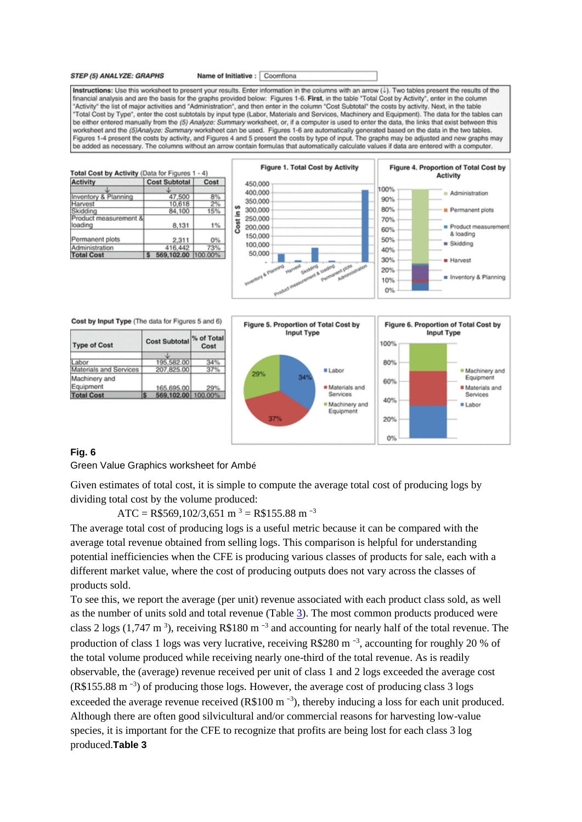<span id="page-14-0"></span>STEP (5) ANALYZE: GRAPHS

Name of Initiative : Coomflona

Instructions: Use this worksheet to present your results. Enter information in the columns with an arrow (L). Two tables present the results of the financial analysis and are the basis for the graphs provided below: Figures 1-6. First, in the table "Total Cost by Activity", enter in the column "Activity" the list of major activities and "Administration", and then enter in the column "Cost Subtotal" the costs by activity. Next, in the table "Total Cost by Type", enter the cost subtotals by input type (Labor, Materials and Services, Machinery and Equipment). The data for the tables can be either entered manually from the (5) Analyze: Summary worksheet, or, if a computer is used to enter the data, the links that exist between this worksheet and the (5)Analyze: Summary worksheet can be used. Figures 1-6 are automatically generated based on the data in the two tables. Figures 1-4 present the costs by activity, and Figures 4 and 5 present the costs by type of input. The graphs may be adjusted and new graphs may be added as necessary. The columns without an arrow contain formulas that automatically calculate values if data are entered with a computer.

| <b>Activity</b>                  | <b>Cost Subtotal</b> | Cost    |  |
|----------------------------------|----------------------|---------|--|
|                                  |                      |         |  |
| Inventory & Planning             | 47,500               | 8%      |  |
| Harvest                          | 10.618               | 2%      |  |
| Skidding                         | 84,100               | 15%     |  |
| Product measurement &<br>loading | 8.131                | 1%      |  |
| Permanent plots                  | 2.311                | 0%      |  |
| Administration                   | 416,442              | 73%     |  |
| <b>Total Cost</b>                | 569,102.00           | 100.00% |  |



Cost by Input Type (The data for Figures 5 and 6)

| <b>Type of Cost</b>        |  | <b>Cost Subtotal</b> | % of Total<br>Cost |  |
|----------------------------|--|----------------------|--------------------|--|
|                            |  |                      |                    |  |
| abor                       |  | 195,582.00           |                    |  |
| Materials and Services     |  | 207,825.00           |                    |  |
| Machinery and<br>Equipment |  | 165,695.00           | 29%                |  |
| <b>Total Cost</b>          |  | 569,102.00 100.00%   |                    |  |



### **Fig. 6**

Green Value Graphics worksheet for Ambé

Given estimates of total cost, it is simple to compute the average total cost of producing logs by dividing total cost by the volume produced:

ATC = R\$569,102/3,651 m<sup>3</sup> = R\$155.88 m<sup>-3</sup>

The average total cost of producing logs is a useful metric because it can be compared with the average total revenue obtained from selling logs. This comparison is helpful for understanding potential inefficiencies when the CFE is producing various classes of products for sale, each with a different market value, where the cost of producing outputs does not vary across the classes of products sold.

<span id="page-14-1"></span>To see this, we report the average (per unit) revenue associated with each product class sold, as well as the number of units sold and total revenue (Table [3\)](#page-14-1). The most common products produced were class 2 logs (1,747 m<sup>3</sup>), receiving R\$180 m<sup>-3</sup> and accounting for nearly half of the total revenue. The production of class 1 logs was very lucrative, receiving R\$280 m<sup>-3</sup>, accounting for roughly 20 % of the total volume produced while receiving nearly one-third of the total revenue. As is readily observable, the (average) revenue received per unit of class 1 and 2 logs exceeded the average cost (R\$155.88 m<sup>-3</sup>) of producing those logs. However, the average cost of producing class 3 logs exceeded the average revenue received (R\$100 m<sup>-3</sup>), thereby inducing a loss for each unit produced. Although there are often good silvicultural and/or commercial reasons for harvesting low-value species, it is important for the CFE to recognize that profits are being lost for each class 3 log produced.**Table 3**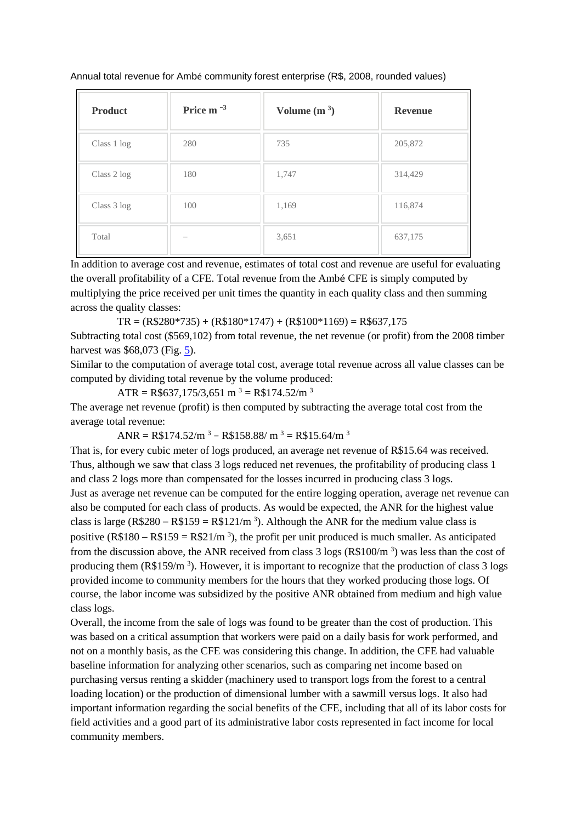Annual total revenue for Ambé community forest enterprise (R\$, 2008, rounded values)

| <b>Product</b> | Price $m^{-3}$ | Volume $(m^3)$ | <b>Revenue</b> |
|----------------|----------------|----------------|----------------|
| Class 1 log    | 280            | 735            | 205,872        |
| Class 2 log    | 180            | 1,747          | 314,429        |
| Class 3 log    | 100            | 1,169          | 116,874        |
| Total          |                | 3,651          | 637,175        |

In addition to average cost and revenue, estimates of total cost and revenue are useful for evaluating the overall profitability of a CFE. Total revenue from the Ambé CFE is simply computed by multiplying the price received per unit times the quantity in each quality class and then summing across the quality classes:

 $TR = (R$280*735) + (R$180*1747) + (R$100*1169) = R$637,175$ 

Subtracting total cost (\$569,102) from total revenue, the net revenue (or profit) from the 2008 timber harvest was \$68,073 (Fig. [5\)](#page-13-0).

Similar to the computation of average total cost, average total revenue across all value classes can be computed by dividing total revenue by the volume produced:

ATR = R\$637,175/3,651 m<sup>3</sup> = R\$174.52/m<sup>3</sup>

The average net revenue (profit) is then computed by subtracting the average total cost from the average total revenue:

 $ANR = R$174.52/m^3 - R$158.88/m^3 = R$15.64/m^3$ 

That is, for every cubic meter of logs produced, an average net revenue of R\$15.64 was received. Thus, although we saw that class 3 logs reduced net revenues, the profitability of producing class 1 and class 2 logs more than compensated for the losses incurred in producing class 3 logs. Just as average net revenue can be computed for the entire logging operation, average net revenue can also be computed for each class of products. As would be expected, the ANR for the highest value class is large (R\$280 – R\$159 = R\$121/m<sup>3</sup>). Although the ANR for the medium value class is positive (R\$180 – R\$159 = R\$21/m<sup>3</sup>), the profit per unit produced is much smaller. As anticipated from the discussion above, the ANR received from class  $3 \log s (R\ $100/m^3)$  was less than the cost of producing them  $(R$159/m<sup>3</sup>)$ . However, it is important to recognize that the production of class 3 logs provided income to community members for the hours that they worked producing those logs. Of course, the labor income was subsidized by the positive ANR obtained from medium and high value class logs.

Overall, the income from the sale of logs was found to be greater than the cost of production. This was based on a critical assumption that workers were paid on a daily basis for work performed, and not on a monthly basis, as the CFE was considering this change. In addition, the CFE had valuable baseline information for analyzing other scenarios, such as comparing net income based on purchasing versus renting a skidder (machinery used to transport logs from the forest to a central loading location) or the production of dimensional lumber with a sawmill versus logs. It also had important information regarding the social benefits of the CFE, including that all of its labor costs for field activities and a good part of its administrative labor costs represented in fact income for local community members.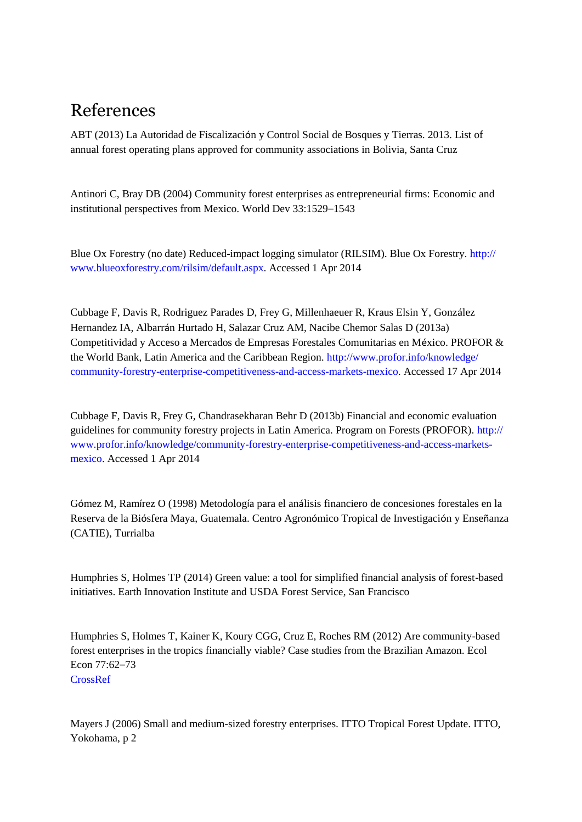# References

<span id="page-16-1"></span>ABT (2013) La Autoridad de Fiscalización y Control Social de Bosques y Tierras. 2013. List of annual forest operating plans approved for community associations in Bolivia, Santa Cruz

<span id="page-16-3"></span>Antinori C, Bray DB (2004) Community forest enterprises as entrepreneurial firms: Economic and institutional perspectives from Mexico. World Dev 33:1529–1543

<span id="page-16-7"></span>Blue Ox Forestry (no date) Reduced-impact logging simulator (RILSIM). Blue Ox Forestry. [http://](http://www.blueoxforestry.com/rilsim/default.aspx) [www.blueoxforestry.com/rilsim/default.aspx.](http://www.blueoxforestry.com/rilsim/default.aspx) Accessed 1 Apr 2014

<span id="page-16-2"></span>Cubbage F, Davis R, Rodriguez Parades D, Frey G, Millenhaeuer R, Kraus Elsin Y, González Hernandez IA, Albarrán Hurtado H, Salazar Cruz AM, Nacibe Chemor Salas D (2013a) Competitividad y Acceso a Mercados de Empresas Forestales Comunitarias en México. PROFOR & the World Bank, Latin America and the Caribbean Region. [http://www.profor.info/knowledge/](http://www.profor.info/knowledge/community-forestry-enterprise-competitiveness-and-access-markets-mexico) [community-forestry-enterprise-competitiveness-and-access-markets-mexico.](http://www.profor.info/knowledge/community-forestry-enterprise-competitiveness-and-access-markets-mexico) Accessed 17 Apr 2014

<span id="page-16-6"></span>Cubbage F, Davis R, Frey G, Chandrasekharan Behr D (2013b) Financial and economic evaluation guidelines for community forestry projects in Latin America. Program on Forests (PROFOR). [http://](http://www.profor.info/knowledge/community-forestry-enterprise-competitiveness-and-access-markets-mexico) [www.profor.info/knowledge/community-forestry-enterprise-competitiveness-and-access-markets](http://www.profor.info/knowledge/community-forestry-enterprise-competitiveness-and-access-markets-mexico)[mexico.](http://www.profor.info/knowledge/community-forestry-enterprise-competitiveness-and-access-markets-mexico) Accessed 1 Apr 2014

<span id="page-16-5"></span>Gómez M, Ramírez O (1998) Metodología para el análisis financiero de concesiones forestales en la Reserva de la Biósfera Maya, Guatemala. Centro Agronómico Tropical de Investigación y Enseñanza (CATIE), Turrialba

<span id="page-16-8"></span>Humphries S, Holmes TP (2014) Green value: a tool for simplified financial analysis of forest-based initiatives. Earth Innovation Institute and USDA Forest Service, San Francisco

<span id="page-16-4"></span>Humphries S, Holmes T, Kainer K, Koury CGG, Cruz E, Roches RM (2012) Are community-based forest enterprises in the tropics financially viable? Case studies from the Brazilian Amazon. Ecol Econ 77:62–73 [CrossRef](http://dx.doi.org/10.1016/j.ecolecon.2011.10.018)

<span id="page-16-0"></span>Mayers J (2006) Small and medium-sized forestry enterprises. ITTO Tropical Forest Update. ITTO, Yokohama, p 2